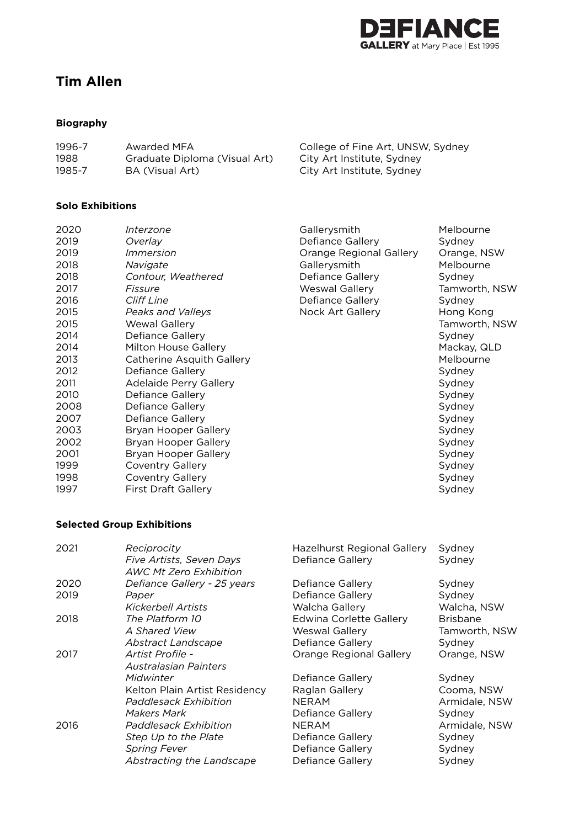

**Hong Kong** Tamworth, NSW

**Tamworth, NSW<br>Sydney** 

# **Tim Allen**

# **Biography**

| 1996-7 | Awarded MFA                   | College of Fine Art, UNSW, Sydney |
|--------|-------------------------------|-----------------------------------|
| 1988   | Graduate Diploma (Visual Art) | City Art Institute, Sydney        |
| 1985-7 | BA (Visual Art)               | City Art Institute, Sydney        |

## **Solo Exhibitions**

| 2020 | Interzone                  | Gallerysmith                   | Melbourne    |
|------|----------------------------|--------------------------------|--------------|
| 2019 | Overlay                    | Defiance Gallery               | Sydney       |
| 2019 | <i>Immersion</i>           | <b>Orange Regional Gallery</b> | Orange, NSW  |
| 2018 | Navigate                   | Gallerysmith                   | Melbourne    |
| 2018 | Contour, Weathered         | Defiance Gallery               | Sydney       |
| 2017 | Fissure                    | <b>Weswal Gallery</b>          | Tamworth, NS |
| 2016 | <b>Cliff Line</b>          | Defiance Gallery               | Sydney       |
| 2015 | Peaks and Valleys          | Nock Art Gallery               | Hong Kong    |
| 2015 | <b>Wewal Gallery</b>       |                                | Tamworth, NS |
| 2014 | Defiance Gallery           |                                | Sydney       |
| 2014 | Milton House Gallery       |                                | Mackay, QLD  |
| 2013 | Catherine Asquith Gallery  |                                | Melbourne    |
| 2012 | Defiance Gallery           |                                | Sydney       |
| 2011 | Adelaide Perry Gallery     |                                | Sydney       |
| 2010 | Defiance Gallery           |                                | Sydney       |
| 2008 | Defiance Gallery           |                                | Sydney       |
| 2007 | Defiance Gallery           |                                | Sydney       |
| 2003 | Bryan Hooper Gallery       |                                | Sydney       |
| 2002 | Bryan Hooper Gallery       |                                | Sydney       |
| 2001 | Bryan Hooper Gallery       |                                | Sydney       |
| 1999 | <b>Coventry Gallery</b>    |                                | Sydney       |
| 1998 | <b>Coventry Gallery</b>    |                                | Sydney       |
| 1997 | <b>First Draft Gallery</b> |                                | Sydney       |
|      |                            |                                |              |

## **Selected Group Exhibitions**

| 2021         | Reciprocity<br>Five Artists, Seven Days<br><b>AWC Mt Zero Exhibition</b>                                                                                   | Hazelhurst Regional Gallery<br>Defiance Gallery                                                                                | Sydney<br>Sydney                                                                     |
|--------------|------------------------------------------------------------------------------------------------------------------------------------------------------------|--------------------------------------------------------------------------------------------------------------------------------|--------------------------------------------------------------------------------------|
| 2020<br>2019 | Defiance Gallery - 25 years<br>Paper<br>Kickerbell Artists                                                                                                 | Defiance Gallery<br>Defiance Gallery<br>Walcha Gallery                                                                         | Sydney<br>Sydney<br>Walcha, NSW                                                      |
| 2018         | The Platform 10<br>A Shared View<br>Abstract Landscape                                                                                                     | <b>Edwina Corlette Gallery</b><br>Weswal Gallery<br>Defiance Gallery                                                           | <b>Brisbane</b><br>Tamworth, NSW<br>Sydney                                           |
| 2017         | Artist Profile -<br><b>Australasian Painters</b>                                                                                                           | Orange Regional Gallery                                                                                                        | Orange, NSW                                                                          |
| 2016         | Midwinter<br>Kelton Plain Artist Residency<br>Paddlesack Exhibition<br>Makers Mark<br>Paddlesack Exhibition<br>Step Up to the Plate<br><b>Spring Fever</b> | Defiance Gallery<br>Raglan Gallery<br><b>NERAM</b><br>Defiance Gallery<br><b>NERAM</b><br>Defiance Gallery<br>Defiance Gallery | Sydney<br>Cooma, NSW<br>Armidale, NSW<br>Sydney<br>Armidale, NSW<br>Sydney<br>Sydney |
|              | Abstracting the Landscape                                                                                                                                  | Defiance Gallery                                                                                                               | Sydney                                                                               |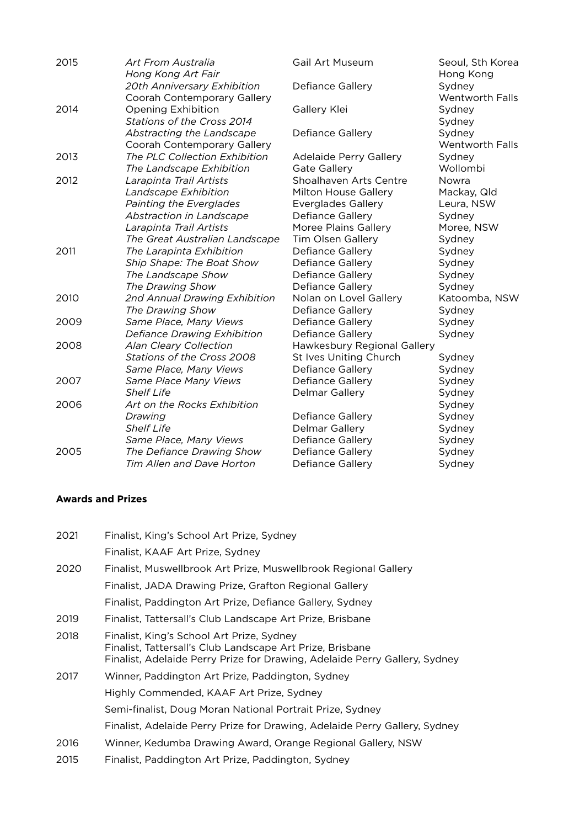| Art From Australia             | Gail Art Museum                                                                                                                                                                                                                                                                     | Seoul, Sth Korea<br>Hong Kong                                                                                                                                                                                                                                 |
|--------------------------------|-------------------------------------------------------------------------------------------------------------------------------------------------------------------------------------------------------------------------------------------------------------------------------------|---------------------------------------------------------------------------------------------------------------------------------------------------------------------------------------------------------------------------------------------------------------|
| 20th Anniversary Exhibition    | Defiance Gallery                                                                                                                                                                                                                                                                    | Sydney                                                                                                                                                                                                                                                        |
| Coorah Contemporary Gallery    |                                                                                                                                                                                                                                                                                     | <b>Wentworth Falls</b>                                                                                                                                                                                                                                        |
| Opening Exhibition             |                                                                                                                                                                                                                                                                                     | Sydney                                                                                                                                                                                                                                                        |
| Stations of the Cross 2014     |                                                                                                                                                                                                                                                                                     | Sydney                                                                                                                                                                                                                                                        |
| Abstracting the Landscape      | Defiance Gallery                                                                                                                                                                                                                                                                    | Sydney                                                                                                                                                                                                                                                        |
| Coorah Contemporary Gallery    |                                                                                                                                                                                                                                                                                     | Wentworth Falls                                                                                                                                                                                                                                               |
| The PLC Collection Exhibition  | Adelaide Perry Gallery                                                                                                                                                                                                                                                              | Sydney                                                                                                                                                                                                                                                        |
| The Landscape Exhibition       | <b>Gate Gallery</b>                                                                                                                                                                                                                                                                 | Wollombi                                                                                                                                                                                                                                                      |
| Larapinta Trail Artists        | Shoalhaven Arts Centre                                                                                                                                                                                                                                                              | Nowra                                                                                                                                                                                                                                                         |
| Landscape Exhibition           | Milton House Gallery                                                                                                                                                                                                                                                                | Mackay, Qld                                                                                                                                                                                                                                                   |
| Painting the Everglades        | <b>Everglades Gallery</b>                                                                                                                                                                                                                                                           | Leura, NSW                                                                                                                                                                                                                                                    |
| Abstraction in Landscape       | Defiance Gallery                                                                                                                                                                                                                                                                    | Sydney                                                                                                                                                                                                                                                        |
| Larapinta Trail Artists        | Moree Plains Gallery                                                                                                                                                                                                                                                                | Moree, NSW                                                                                                                                                                                                                                                    |
| The Great Australian Landscape | <b>Tim Olsen Gallery</b>                                                                                                                                                                                                                                                            | Sydney                                                                                                                                                                                                                                                        |
| The Larapinta Exhibition       | Defiance Gallery                                                                                                                                                                                                                                                                    | Sydney                                                                                                                                                                                                                                                        |
| Ship Shape: The Boat Show      | Defiance Gallery                                                                                                                                                                                                                                                                    | Sydney                                                                                                                                                                                                                                                        |
| The Landscape Show             | Defiance Gallery                                                                                                                                                                                                                                                                    | Sydney                                                                                                                                                                                                                                                        |
| The Drawing Show               |                                                                                                                                                                                                                                                                                     | Sydney                                                                                                                                                                                                                                                        |
|                                |                                                                                                                                                                                                                                                                                     | Katoomba, NSW                                                                                                                                                                                                                                                 |
| The Drawing Show               | Defiance Gallery                                                                                                                                                                                                                                                                    | Sydney                                                                                                                                                                                                                                                        |
| Same Place, Many Views         | Defiance Gallery                                                                                                                                                                                                                                                                    | Sydney                                                                                                                                                                                                                                                        |
| Defiance Drawing Exhibition    |                                                                                                                                                                                                                                                                                     | Sydney                                                                                                                                                                                                                                                        |
|                                |                                                                                                                                                                                                                                                                                     |                                                                                                                                                                                                                                                               |
|                                |                                                                                                                                                                                                                                                                                     | Sydney                                                                                                                                                                                                                                                        |
| Same Place, Many Views         |                                                                                                                                                                                                                                                                                     | Sydney                                                                                                                                                                                                                                                        |
| Same Place Many Views          | Defiance Gallery                                                                                                                                                                                                                                                                    | Sydney                                                                                                                                                                                                                                                        |
|                                | Delmar Gallery                                                                                                                                                                                                                                                                      | Sydney                                                                                                                                                                                                                                                        |
|                                |                                                                                                                                                                                                                                                                                     | Sydney                                                                                                                                                                                                                                                        |
|                                |                                                                                                                                                                                                                                                                                     | Sydney                                                                                                                                                                                                                                                        |
|                                |                                                                                                                                                                                                                                                                                     | Sydney                                                                                                                                                                                                                                                        |
|                                |                                                                                                                                                                                                                                                                                     | Sydney                                                                                                                                                                                                                                                        |
|                                |                                                                                                                                                                                                                                                                                     | Sydney                                                                                                                                                                                                                                                        |
|                                |                                                                                                                                                                                                                                                                                     | Sydney                                                                                                                                                                                                                                                        |
|                                | Hong Kong Art Fair<br>2nd Annual Drawing Exhibition<br>Alan Cleary Collection<br>Stations of the Cross 2008<br><b>Shelf Life</b><br>Art on the Rocks Exhibition<br>Drawing<br><b>Shelf Life</b><br>Same Place, Many Views<br>The Defiance Drawing Show<br>Tim Allen and Dave Horton | Gallery Klei<br>Defiance Gallery<br>Nolan on Lovel Gallery<br>Defiance Gallery<br>Hawkesbury Regional Gallery<br>St Ives Uniting Church<br>Defiance Gallery<br>Defiance Gallery<br>Delmar Gallery<br>Defiance Gallery<br>Defiance Gallery<br>Defiance Gallery |

# **Awards and Prizes**

| Finalist, King's School Art Prize, Sydney                                                                                                                                            |
|--------------------------------------------------------------------------------------------------------------------------------------------------------------------------------------|
| Finalist, KAAF Art Prize, Sydney                                                                                                                                                     |
| Finalist, Muswellbrook Art Prize, Muswellbrook Regional Gallery                                                                                                                      |
| Finalist, JADA Drawing Prize, Grafton Regional Gallery                                                                                                                               |
| Finalist, Paddington Art Prize, Defiance Gallery, Sydney                                                                                                                             |
| Finalist, Tattersall's Club Landscape Art Prize, Brisbane                                                                                                                            |
| Finalist, King's School Art Prize, Sydney<br>Finalist, Tattersall's Club Landscape Art Prize, Brisbane<br>Finalist, Adelaide Perry Prize for Drawing, Adelaide Perry Gallery, Sydney |
| Winner, Paddington Art Prize, Paddington, Sydney                                                                                                                                     |
| Highly Commended, KAAF Art Prize, Sydney                                                                                                                                             |
| Semi-finalist, Doug Moran National Portrait Prize, Sydney                                                                                                                            |
| Finalist, Adelaide Perry Prize for Drawing, Adelaide Perry Gallery, Sydney                                                                                                           |
| Winner, Kedumba Drawing Award, Orange Regional Gallery, NSW                                                                                                                          |
| Finalist, Paddington Art Prize, Paddington, Sydney                                                                                                                                   |
|                                                                                                                                                                                      |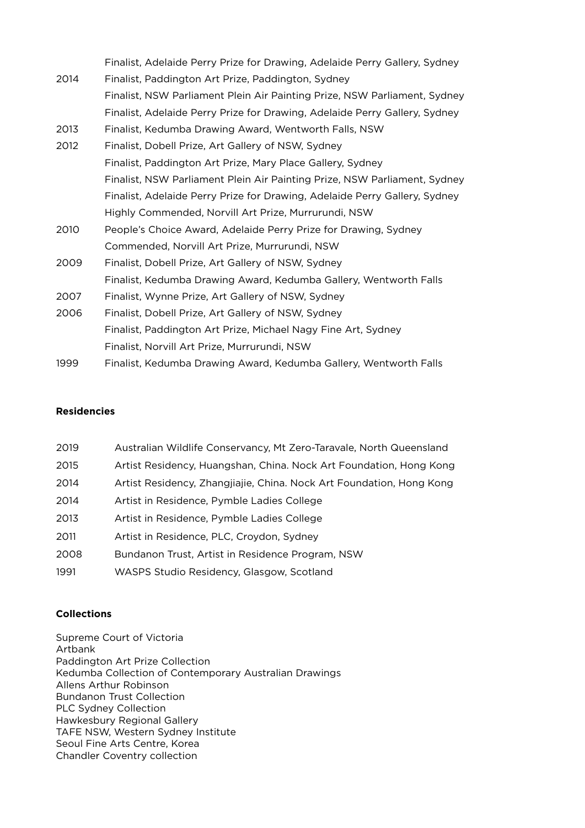|      | Finalist, Adelaide Perry Prize for Drawing, Adelaide Perry Gallery, Sydney |
|------|----------------------------------------------------------------------------|
| 2014 | Finalist, Paddington Art Prize, Paddington, Sydney                         |
|      | Finalist, NSW Parliament Plein Air Painting Prize, NSW Parliament, Sydney  |
|      | Finalist, Adelaide Perry Prize for Drawing, Adelaide Perry Gallery, Sydney |
| 2013 | Finalist, Kedumba Drawing Award, Wentworth Falls, NSW                      |
| 2012 | Finalist, Dobell Prize, Art Gallery of NSW, Sydney                         |
|      | Finalist, Paddington Art Prize, Mary Place Gallery, Sydney                 |
|      | Finalist, NSW Parliament Plein Air Painting Prize, NSW Parliament, Sydney  |
|      | Finalist, Adelaide Perry Prize for Drawing, Adelaide Perry Gallery, Sydney |
|      | Highly Commended, Norvill Art Prize, Murrurundi, NSW                       |
| 2010 | People's Choice Award, Adelaide Perry Prize for Drawing, Sydney            |
|      | Commended, Norvill Art Prize, Murrurundi, NSW                              |
| 2009 | Finalist, Dobell Prize, Art Gallery of NSW, Sydney                         |
|      | Finalist, Kedumba Drawing Award, Kedumba Gallery, Wentworth Falls          |
| 2007 | Finalist, Wynne Prize, Art Gallery of NSW, Sydney                          |
| 2006 | Finalist, Dobell Prize, Art Gallery of NSW, Sydney                         |
|      | Finalist, Paddington Art Prize, Michael Nagy Fine Art, Sydney              |
|      | Finalist, Norvill Art Prize, Murrurundi, NSW                               |
| 1999 | Finalist, Kedumba Drawing Award, Kedumba Gallery, Wentworth Falls          |

## **Residencies**

| 2019 | Australian Wildlife Conservancy, Mt Zero-Taravale, North Queensland  |
|------|----------------------------------------------------------------------|
| 2015 | Artist Residency, Huangshan, China. Nock Art Foundation, Hong Kong   |
| 2014 | Artist Residency, Zhangjiajie, China. Nock Art Foundation, Hong Kong |
| 2014 | Artist in Residence, Pymble Ladies College                           |
| 2013 | Artist in Residence, Pymble Ladies College                           |
| 2011 | Artist in Residence, PLC, Croydon, Sydney                            |
| 2008 | Bundanon Trust, Artist in Residence Program, NSW                     |
| 1991 | WASPS Studio Residency, Glasgow, Scotland                            |

# **Collections**

Supreme Court of Victoria Artbank Paddington Art Prize Collection Kedumba Collection of Contemporary Australian Drawings Allens Arthur Robinson Bundanon Trust Collection PLC Sydney Collection Hawkesbury Regional Gallery TAFE NSW, Western Sydney Institute Seoul Fine Arts Centre, Korea Chandler Coventry collection